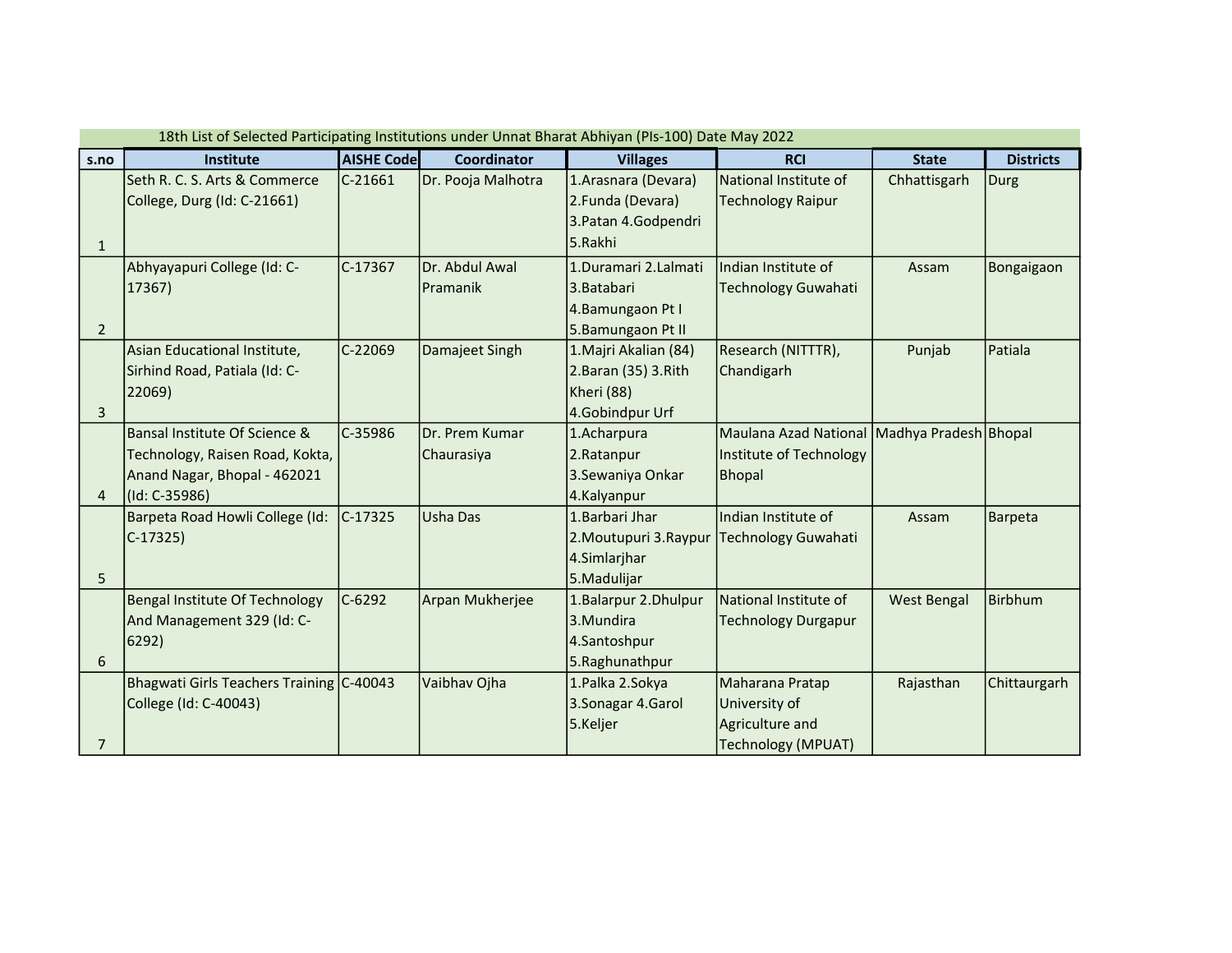|                | 18th List of Selected Participating Institutions under Unnat Bharat Abhiyan (PIs-100) Date May 2022 |                   |                    |                        |                                             |                    |                  |  |  |  |  |  |
|----------------|-----------------------------------------------------------------------------------------------------|-------------------|--------------------|------------------------|---------------------------------------------|--------------------|------------------|--|--|--|--|--|
| s.no           | Institute                                                                                           | <b>AISHE Code</b> | <b>Coordinator</b> | <b>Villages</b>        | <b>RCI</b>                                  | <b>State</b>       | <b>Districts</b> |  |  |  |  |  |
|                | Seth R. C. S. Arts & Commerce                                                                       | $C-21661$         | Dr. Pooja Malhotra | 1. Arasnara (Devara)   | National Institute of                       | Chhattisgarh       | Durg             |  |  |  |  |  |
|                | College, Durg (Id: C-21661)                                                                         |                   |                    | 2.Funda (Devara)       | <b>Technology Raipur</b>                    |                    |                  |  |  |  |  |  |
|                |                                                                                                     |                   |                    | 3. Patan 4. Godpendri  |                                             |                    |                  |  |  |  |  |  |
| $\mathbf{1}$   |                                                                                                     |                   |                    | 5.Rakhi                |                                             |                    |                  |  |  |  |  |  |
|                | Abhyayapuri College (Id: C-                                                                         | $C-17367$         | Dr. Abdul Awal     | 1.Duramari 2.Lalmati   | Indian Institute of                         | Assam              | Bongaigaon       |  |  |  |  |  |
|                | 17367)                                                                                              |                   | Pramanik           | l3.Batabari            | <b>Technology Guwahati</b>                  |                    |                  |  |  |  |  |  |
|                |                                                                                                     |                   |                    | 4.Bamungaon Pt I       |                                             |                    |                  |  |  |  |  |  |
| $\overline{2}$ |                                                                                                     |                   |                    | 5.Bamungaon Pt II      |                                             |                    |                  |  |  |  |  |  |
|                | Asian Educational Institute,                                                                        | $C-22069$         | Damajeet Singh     | 1. Majri Akalian (84)  | Research (NITTTR),                          | Punjab             | Patiala          |  |  |  |  |  |
|                | Sirhind Road, Patiala (Id: C-                                                                       |                   |                    | 2. Baran (35) 3. Rith  | Chandigarh                                  |                    |                  |  |  |  |  |  |
|                | 22069)                                                                                              |                   |                    | Kheri (88)             |                                             |                    |                  |  |  |  |  |  |
| 3              |                                                                                                     |                   |                    | 4.Gobindpur Urf        |                                             |                    |                  |  |  |  |  |  |
|                | Bansal Institute Of Science &                                                                       | $C-35986$         | Dr. Prem Kumar     | 1.Acharpura            | Maulana Azad National Madhya Pradesh Bhopal |                    |                  |  |  |  |  |  |
|                | Technology, Raisen Road, Kokta,                                                                     |                   | Chaurasiya         | 2.Ratanpur             | Institute of Technology                     |                    |                  |  |  |  |  |  |
|                | Anand Nagar, Bhopal - 462021                                                                        |                   |                    | 3. Sewaniya Onkar      | <b>Bhopal</b>                               |                    |                  |  |  |  |  |  |
| 4              | $ $ (Id: C-35986)                                                                                   |                   |                    | 4.Kalyanpur            |                                             |                    |                  |  |  |  |  |  |
|                | Barpeta Road Howli College (Id:                                                                     | C-17325           | Usha Das           | 1. Barbari Jhar        | Indian Institute of                         | Assam              | Barpeta          |  |  |  |  |  |
|                | $C-17325$                                                                                           |                   |                    | 2. Moutupuri 3. Raypur | <b>Technology Guwahati</b>                  |                    |                  |  |  |  |  |  |
|                |                                                                                                     |                   |                    | 4.Simlarjhar           |                                             |                    |                  |  |  |  |  |  |
| 5              |                                                                                                     |                   |                    | 5.Madulijar            |                                             |                    |                  |  |  |  |  |  |
|                | Bengal Institute Of Technology                                                                      | $C-6292$          | Arpan Mukherjee    | 1. Balarpur 2. Dhulpur | National Institute of                       | <b>West Bengal</b> | <b>Birbhum</b>   |  |  |  |  |  |
|                | And Management 329 (Id: C-                                                                          |                   |                    | 3.Mundira              | <b>Technology Durgapur</b>                  |                    |                  |  |  |  |  |  |
|                | $ 6292\rangle$                                                                                      |                   |                    | 4.Santoshpur           |                                             |                    |                  |  |  |  |  |  |
| 6              |                                                                                                     |                   |                    | 5. Raghunathpur        |                                             |                    |                  |  |  |  |  |  |
|                | Bhagwati Girls Teachers Training C-40043                                                            |                   | Vaibhav Ojha       | 1. Palka 2. Sokya      | Maharana Pratap                             | Rajasthan          | Chittaurgarh     |  |  |  |  |  |
|                | College (Id: C-40043)                                                                               |                   |                    | 3.Sonagar 4.Garol      | University of                               |                    |                  |  |  |  |  |  |
|                |                                                                                                     |                   |                    | 5.Keljer               | Agriculture and                             |                    |                  |  |  |  |  |  |
| $\overline{7}$ |                                                                                                     |                   |                    |                        | <b>Technology (MPUAT)</b>                   |                    |                  |  |  |  |  |  |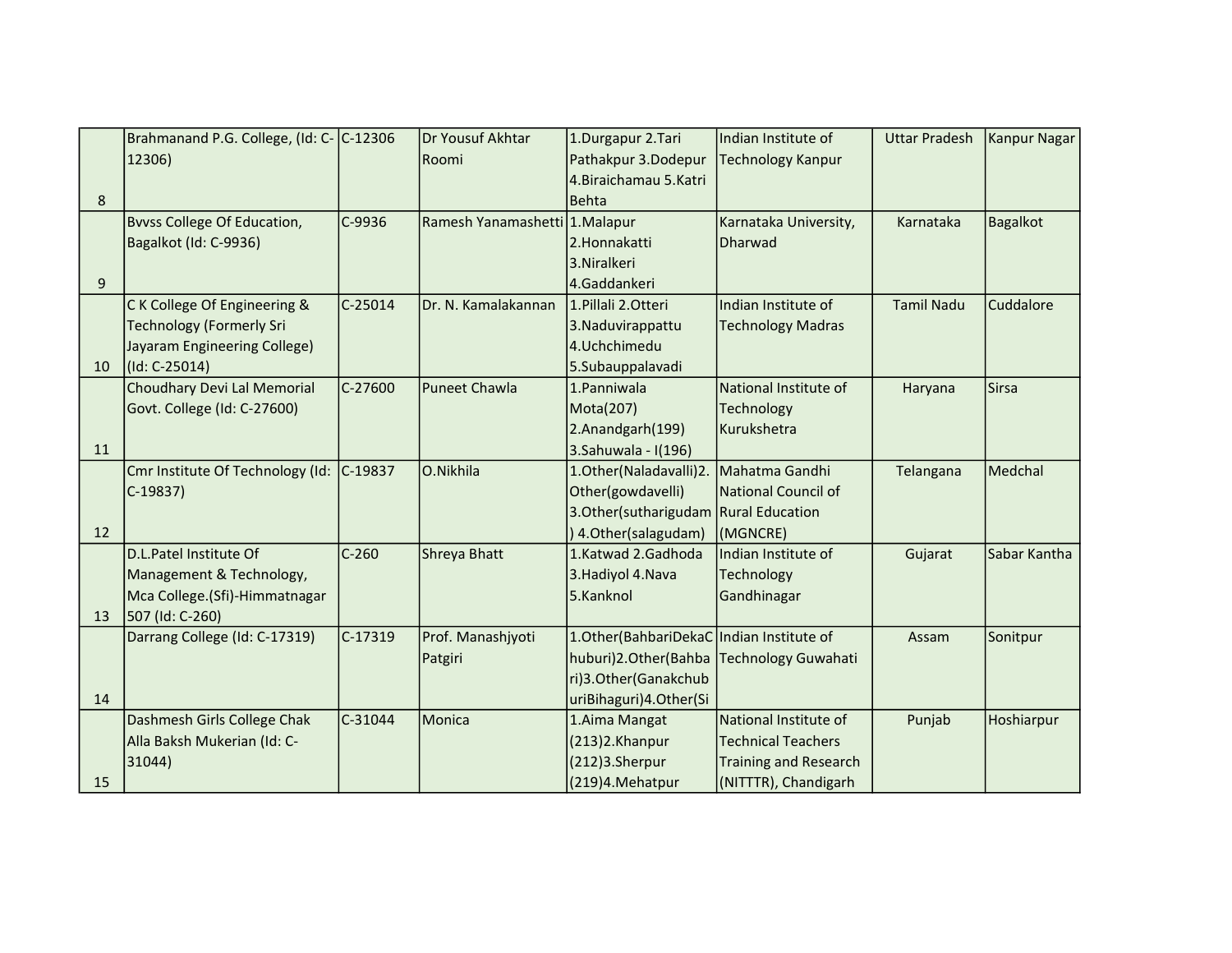|    | Brahmanand P.G. College, (Id: C- C-12306 |           | Dr Yousuf Akhtar               | 1.Durgapur 2.Tari                          | Indian Institute of       | <b>Uttar Pradesh</b> | Kanpur Nagar    |
|----|------------------------------------------|-----------|--------------------------------|--------------------------------------------|---------------------------|----------------------|-----------------|
|    | 12306)                                   |           | Roomi                          | Pathakpur 3.Dodepur                        | Technology Kanpur         |                      |                 |
|    |                                          |           |                                | 4. Biraichamau 5. Katri                    |                           |                      |                 |
| 8  |                                          |           |                                | <b>Behta</b>                               |                           |                      |                 |
|    | <b>B</b> vvss College Of Education,      | C-9936    | Ramesh Yanamashetti 1. Malapur |                                            | Karnataka University,     | Karnataka            | <b>Bagalkot</b> |
|    | Bagalkot (Id: C-9936)                    |           |                                | 2.Honnakatti                               | Dharwad                   |                      |                 |
|    |                                          |           |                                | 3. Niralkeri                               |                           |                      |                 |
| 9  |                                          |           |                                | 4.Gaddankeri                               |                           |                      |                 |
|    | C K College Of Engineering &             | $C-25014$ | Dr. N. Kamalakannan            | 1. Pillali 2. Otteri                       | Indian Institute of       | <b>Tamil Nadu</b>    | Cuddalore       |
|    | <b>Technology (Formerly Sri</b>          |           |                                | 3. Naduvirappattu                          | Technology Madras         |                      |                 |
|    | Jayaram Engineering College)             |           |                                | 4.Uchchimedu                               |                           |                      |                 |
| 10 | (Id: C-25014)                            |           |                                | 5.Subauppalavadi                           |                           |                      |                 |
|    | Choudhary Devi Lal Memorial              | C-27600   | <b>Puneet Chawla</b>           | 1. Panniwala                               | National Institute of     | Haryana              | <b>Sirsa</b>    |
|    | Govt. College (Id: C-27600)              |           |                                | Mota(207)                                  | Technology                |                      |                 |
|    |                                          |           |                                | 2.Anandgarh(199)                           | Kurukshetra               |                      |                 |
| 11 |                                          |           |                                | 3.Sahuwala - I(196)                        |                           |                      |                 |
|    | Cmr Institute Of Technology (Id:         | $C-19837$ | O.Nikhila                      | 1.Other(Naladavalli)2.                     | Mahatma Gandhi            | Telangana            | Medchal         |
|    | $C-19837$                                |           |                                | Other(gowdavelli)                          | National Council of       |                      |                 |
|    |                                          |           |                                | 3. Other (sutharigudam Rural Education     |                           |                      |                 |
| 12 |                                          |           |                                | ) 4. Other (salagudam)                     | (MGNCRE)                  |                      |                 |
|    | D.L.Patel Institute Of                   | $C-260$   | Shreya Bhatt                   | 1.Katwad 2.Gadhoda                         | Indian Institute of       | Gujarat              | Sabar Kantha    |
|    | Management & Technology,                 |           |                                | 3. Hadiyol 4. Nava                         | Technology                |                      |                 |
|    | Mca College.(Sfi)-Himmatnagar            |           |                                | 5.Kanknol                                  | Gandhinagar               |                      |                 |
| 13 | 507 (Id: C-260)                          |           |                                |                                            |                           |                      |                 |
|    | Darrang College (Id: C-17319)            | $C-17319$ | Prof. Manashjyoti              | 1. Other (BahbariDekaC Indian Institute of |                           | Assam                | Sonitpur        |
|    |                                          |           | Patgiri                        | huburi)2.Other(Bahba Technology Guwahati   |                           |                      |                 |
|    |                                          |           |                                | ri)3.Other(Ganakchub                       |                           |                      |                 |
| 14 |                                          |           |                                | uriBihaguri)4.Other(Si                     |                           |                      |                 |
|    | Dashmesh Girls College Chak              | $C-31044$ | Monica                         | 1. Aima Mangat                             | National Institute of     | Punjab               | Hoshiarpur      |
|    | Alla Baksh Mukerian (Id: C-              |           |                                | (213)2.Khanpur                             | <b>Technical Teachers</b> |                      |                 |
|    | 31044)                                   |           |                                | (212)3.Sherpur                             | Training and Research     |                      |                 |
| 15 |                                          |           |                                | (219)4.Mehatpur                            | (NITTTR), Chandigarh      |                      |                 |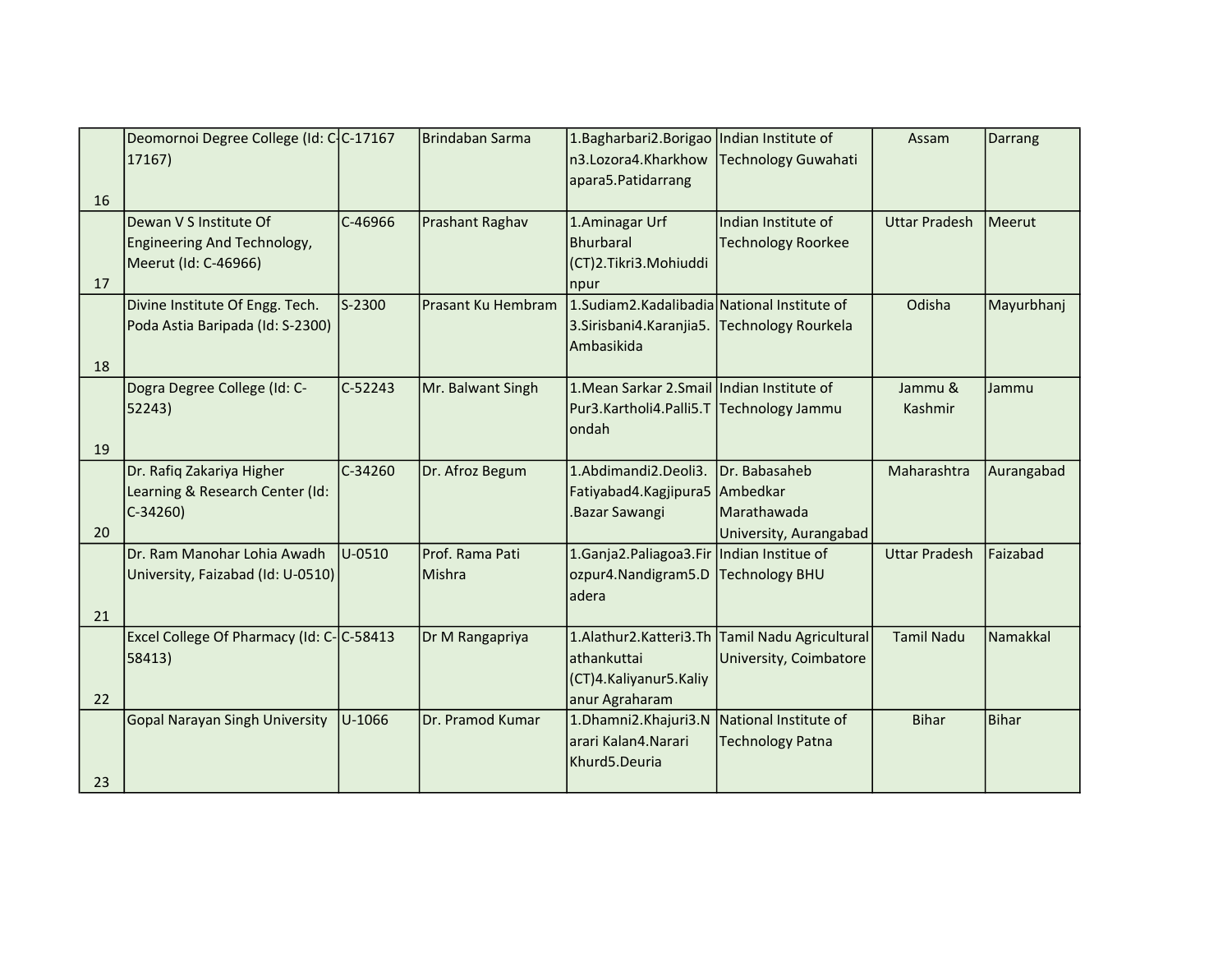|    | Deomornoi Degree College (Id: C-C-17167  |           | Brindaban Sarma    | 1. Bagharbari 2. Borigao   Indian Institute of |                                                | Assam                | Darrang      |
|----|------------------------------------------|-----------|--------------------|------------------------------------------------|------------------------------------------------|----------------------|--------------|
|    | 17167)                                   |           |                    | n3.Lozora4.Kharkhow                            | Technology Guwahati                            |                      |              |
|    |                                          |           |                    | apara5.Patidarrang                             |                                                |                      |              |
| 16 |                                          |           |                    |                                                |                                                |                      |              |
|    | Dewan V S Institute Of                   | $C-46966$ | Prashant Raghav    | 1. Aminagar Urf                                | Indian Institute of                            | <b>Uttar Pradesh</b> | Meerut       |
|    | Engineering And Technology,              |           |                    | <b>Bhurbaral</b>                               | <b>Technology Roorkee</b>                      |                      |              |
|    | Meerut (Id: C-46966)                     |           |                    | (CT)2.Tikri3.Mohiuddi                          |                                                |                      |              |
| 17 |                                          |           |                    | npur                                           |                                                |                      |              |
|    | Divine Institute Of Engg. Tech.          | S-2300    | Prasant Ku Hembram | 1.Sudiam2.Kadalibadia National Institute of    |                                                | Odisha               | Mayurbhanj   |
|    | Poda Astia Baripada (Id: S-2300)         |           |                    | 3. Sirisbani4. Karanjia 5.                     | <b>Technology Rourkela</b>                     |                      |              |
|    |                                          |           |                    | Ambasikida                                     |                                                |                      |              |
| 18 |                                          |           |                    |                                                |                                                |                      |              |
|    | Dogra Degree College (Id: C-             | $C-52243$ | Mr. Balwant Singh  | 1. Mean Sarkar 2. Smail Indian Institute of    |                                                | Jammu &              | Jammu        |
|    | 52243)                                   |           |                    | Pur3.Kartholi4.Palli5.T Technology Jammu       |                                                | Kashmir              |              |
|    |                                          |           |                    | londah                                         |                                                |                      |              |
| 19 |                                          |           |                    |                                                |                                                |                      |              |
|    | Dr. Rafiq Zakariya Higher                | $C-34260$ | Dr. Afroz Begum    | 1.Abdimandi2.Deoli3.                           | Dr. Babasaheb                                  | Maharashtra          | Aurangabad   |
|    | Learning & Research Center (Id:          |           |                    | Fatiyabad4.Kagjipura5 Ambedkar                 |                                                |                      |              |
|    | $C-34260$                                |           |                    | Bazar Sawangi.                                 | Marathawada                                    |                      |              |
| 20 |                                          |           |                    |                                                | University, Aurangabad                         |                      |              |
|    | IDr. Ram Manohar Lohia Awadh             | U-0510    | Prof. Rama Pati    | 1. Ganja 2. Paliagoa 3. Fir Indian Institue of |                                                | <b>Uttar Pradesh</b> | Faizabad     |
|    | University, Faizabad (Id: U-0510)        |           | Mishra             | ozpur4.Nandigram5.D                            | <b>Technology BHU</b>                          |                      |              |
|    |                                          |           |                    | ladera                                         |                                                |                      |              |
| 21 |                                          |           |                    |                                                |                                                |                      |              |
|    | Excel College Of Pharmacy (Id: C-C-58413 |           | Dr M Rangapriya    |                                                | 1.Alathur2.Katteri3.Th Tamil Nadu Agricultural | <b>Tamil Nadu</b>    | Namakkal     |
|    | 58413)                                   |           |                    | athankuttai                                    | University, Coimbatore                         |                      |              |
|    |                                          |           |                    | (CT)4.Kaliyanur5.Kaliy                         |                                                |                      |              |
|    |                                          |           |                    |                                                |                                                |                      |              |
| 22 |                                          |           |                    | anur Agraharam                                 |                                                |                      |              |
|    | Gopal Narayan Singh University           | U-1066    | Dr. Pramod Kumar   | 1.Dhamni2.Khajuri3.N                           | National Institute of                          | <b>Bihar</b>         | <b>Bihar</b> |
|    |                                          |           |                    | arari Kalan4.Narari                            | <b>Technology Patna</b>                        |                      |              |
| 23 |                                          |           |                    | Khurd5.Deuria                                  |                                                |                      |              |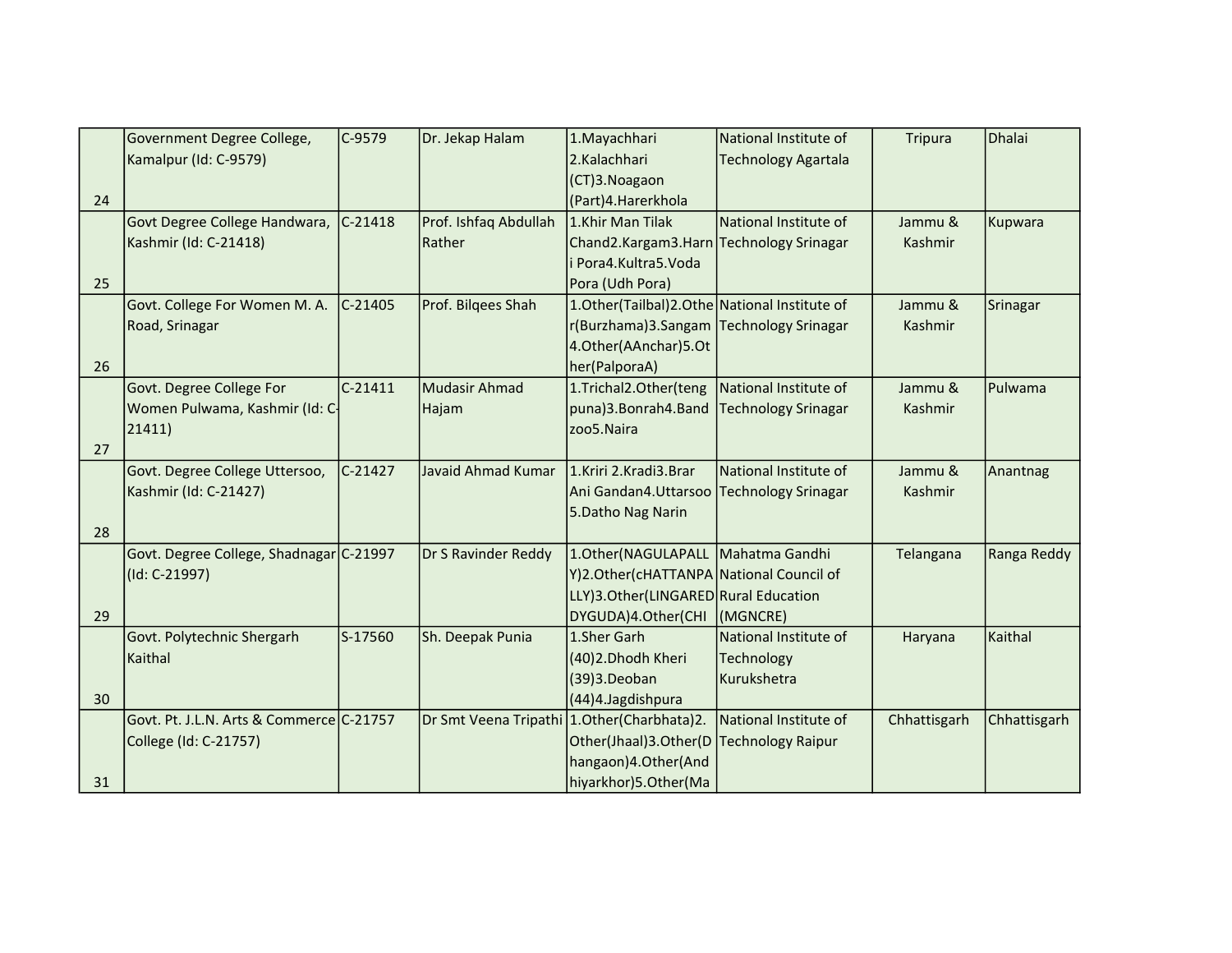|    | Government Degree College,               | C-9579    | Dr. Jekap Halam       | 1. Mayachhari                                   | National Institute of      | Tripura      | Dhalai       |
|----|------------------------------------------|-----------|-----------------------|-------------------------------------------------|----------------------------|--------------|--------------|
|    | Kamalpur (Id: C-9579)                    |           |                       | 2.Kalachhari                                    | <b>Technology Agartala</b> |              |              |
|    |                                          |           |                       | (CT)3. Noagaon                                  |                            |              |              |
| 24 |                                          |           |                       | (Part)4.Harerkhola                              |                            |              |              |
|    | Govt Degree College Handwara,            | $C-21418$ | Prof. Ishfaq Abdullah | 1.Khir Man Tilak                                | National Institute of      | Jammu &      | Kupwara      |
|    | Kashmir (Id: C-21418)                    |           | Rather                | Chand2.Kargam3.Harn Technology Srinagar         |                            | Kashmir      |              |
|    |                                          |           |                       | Pora4.Kultra5.Voda                              |                            |              |              |
| 25 |                                          |           |                       | Pora (Udh Pora)                                 |                            |              |              |
|    | Govt. College For Women M. A.            | $C-21405$ | Prof. Bilgees Shah    | 1. Other(Tailbal) 2. Othe National Institute of |                            | Jammu &      | Srinagar     |
|    | Road, Srinagar                           |           |                       | r(Burzhama)3.Sangam Technology Srinagar         |                            | Kashmir      |              |
|    |                                          |           |                       | 4.Other(AAnchar)5.Ot                            |                            |              |              |
| 26 |                                          |           |                       | her(PalporaA)                                   |                            |              |              |
|    | Govt. Degree College For                 | $C-21411$ | <b>Mudasir Ahmad</b>  | 1.Trichal2.Other(teng                           | National Institute of      | Jammu &      | Pulwama      |
|    | Women Pulwama, Kashmir (Id: C-           |           | Hajam                 | puna)3.Bonrah4.Band                             | Technology Srinagar        | Kashmir      |              |
|    | 21411)                                   |           |                       | zoo5.Naira                                      |                            |              |              |
| 27 |                                          |           |                       |                                                 |                            |              |              |
|    | Govt. Degree College Uttersoo,           | $C-21427$ | Javaid Ahmad Kumar    | 1.Kriri 2.Kradi3.Brar                           | National Institute of      | Jammu &      | Anantnag     |
|    | Kashmir (Id: C-21427)                    |           |                       | Ani Gandan4. Uttarsoo                           | Technology Srinagar        | Kashmir      |              |
|    |                                          |           |                       | 5. Datho Nag Narin                              |                            |              |              |
| 28 |                                          |           |                       |                                                 |                            |              |              |
|    | Govt. Degree College, Shadnagar C-21997  |           | Dr S Ravinder Reddy   | 1.Other(NAGULAPALL   Mahatma Gandhi             |                            | Telangana    | Ranga Reddy  |
|    | (Id: C-21997)                            |           |                       | Y)2.Other(cHATTANPA National Council of         |                            |              |              |
|    |                                          |           |                       | LLY)3.Other(LINGARED Rural Education            |                            |              |              |
| 29 |                                          |           |                       | DYGUDA)4.Other(CHI                              | (MGNCRE)                   |              |              |
|    | Govt. Polytechnic Shergarh               | S-17560   | Sh. Deepak Punia      | 1.Sher Garh                                     | National Institute of      | Haryana      | Kaithal      |
|    | Kaithal                                  |           |                       | (40)2. Dhodh Kheri                              | Technology                 |              |              |
|    |                                          |           |                       | (39)3.Deoban                                    | Kurukshetra                |              |              |
| 30 |                                          |           |                       | (44)4.Jagdishpura                               |                            |              |              |
|    | Govt. Pt. J.L.N. Arts & Commerce C-21757 |           |                       | Dr Smt Veena Tripathi 1. Other (Charbhata) 2.   | National Institute of      | Chhattisgarh | Chhattisgarh |
|    | College (Id: C-21757)                    |           |                       | Other(Jhaal)3.Other(D                           | Technology Raipur          |              |              |
|    |                                          |           |                       | hangaon)4.Other(And                             |                            |              |              |
| 31 |                                          |           |                       | hiyarkhor)5.Other(Ma                            |                            |              |              |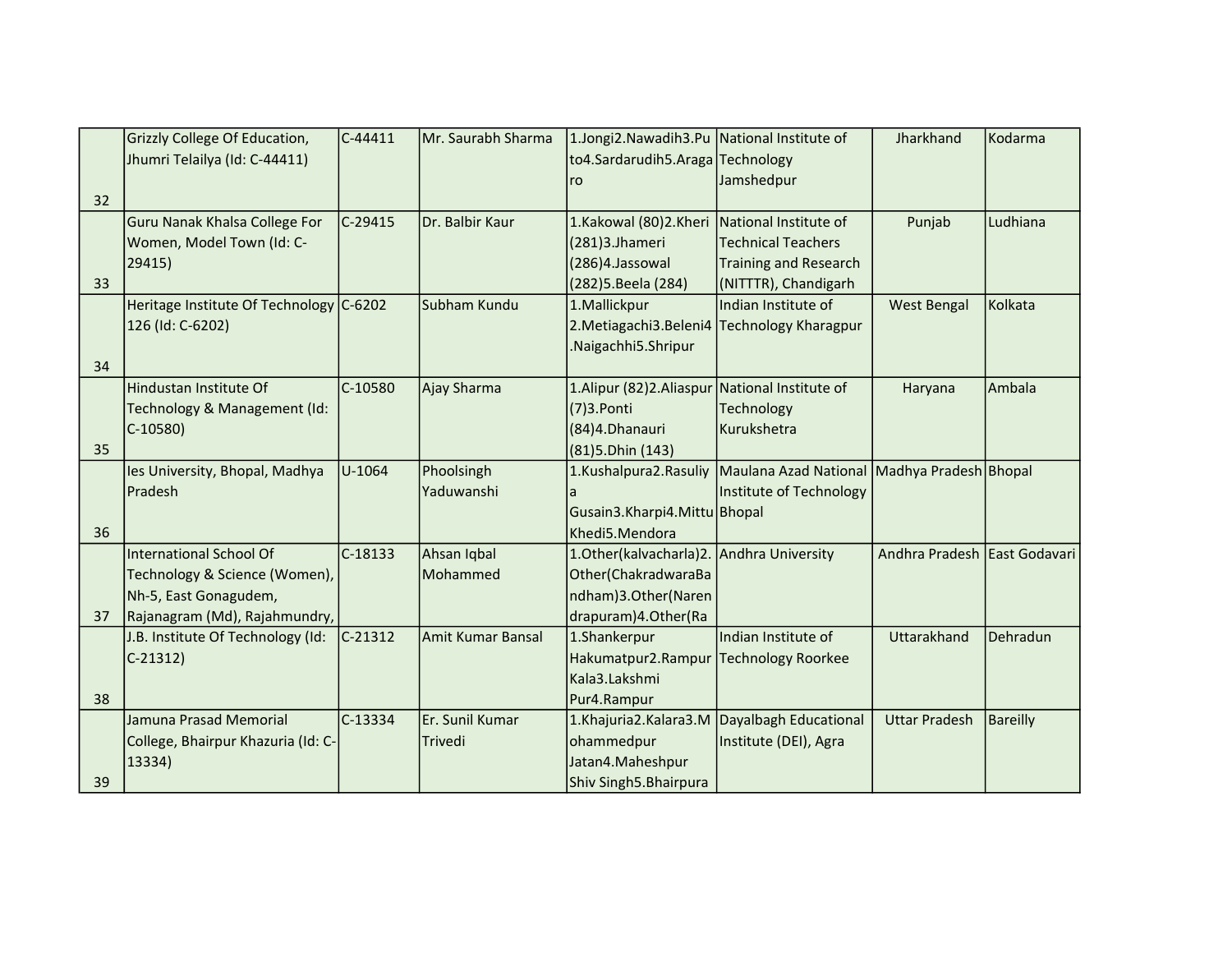|    | Grizzly College Of Education,           | $C-44411$ | Mr. Saurabh Sharma       | 1.Jongi2.Nawadih3.Pu National Institute of    |                                             | Jharkhand                    | Kodarma         |
|----|-----------------------------------------|-----------|--------------------------|-----------------------------------------------|---------------------------------------------|------------------------------|-----------------|
|    | Jhumri Telailya (Id: C-44411)           |           |                          | to4.Sardarudih5.Araga Technology              |                                             |                              |                 |
|    |                                         |           |                          | ro                                            | Jamshedpur                                  |                              |                 |
| 32 |                                         |           |                          |                                               |                                             |                              |                 |
|    | Guru Nanak Khalsa College For           | C-29415   | Dr. Balbir Kaur          | 1.Kakowal (80)2.Kheri National Institute of   |                                             | Punjab                       | Ludhiana        |
|    | Women, Model Town (Id: C-               |           |                          | (281)3.Jhameri                                | <b>Technical Teachers</b>                   |                              |                 |
|    | 29415)                                  |           |                          | (286)4.Jassowal                               | <b>Training and Research</b>                |                              |                 |
| 33 |                                         |           |                          | (282) 5. Beela (284)                          | (NITTTR), Chandigarh                        |                              |                 |
|    | Heritage Institute Of Technology C-6202 |           | Subham Kundu             | 1. Mallickpur                                 | Indian Institute of                         | <b>West Bengal</b>           | Kolkata         |
|    | 126 (Id: C-6202)                        |           |                          | 2. Metiagachi 3. Beleni 4                     | <b>Technology Kharagpur</b>                 |                              |                 |
|    |                                         |           |                          | Naigachhi5.Shripur                            |                                             |                              |                 |
| 34 |                                         |           |                          |                                               |                                             |                              |                 |
|    | Hindustan Institute Of                  | $C-10580$ | Ajay Sharma              | 1.Alipur (82)2.Aliaspur National Institute of |                                             | Haryana                      | Ambala          |
|    | Technology & Management (Id:            |           |                          | $(7)$ 3. Ponti                                | Technology                                  |                              |                 |
|    | $C-10580$                               |           |                          | (84)4.Dhanauri                                | Kurukshetra                                 |                              |                 |
| 35 |                                         |           |                          | $(81)5$ . Dhin $(143)$                        |                                             |                              |                 |
|    | les University, Bhopal, Madhya          | U-1064    | Phoolsingh               | 1.Kushalpura2.Rasuliy                         | Maulana Azad National Madhya Pradesh Bhopal |                              |                 |
|    | Pradesh                                 |           | Yaduwanshi               |                                               | Institute of Technology                     |                              |                 |
|    |                                         |           |                          | Gusain3.Kharpi4.Mittu Bhopal                  |                                             |                              |                 |
| 36 |                                         |           |                          | Khedi5.Mendora                                |                                             |                              |                 |
|    | <b>International School Of</b>          | C-18133   | Ahsan Iqbal              | 1. Other (kalvacharla) 2. Andhra University   |                                             | Andhra Pradesh East Godavari |                 |
|    | Technology & Science (Women),           |           | Mohammed                 | Other(ChakradwaraBa                           |                                             |                              |                 |
|    | Nh-5, East Gonagudem,                   |           |                          | ndham)3.Other(Naren                           |                                             |                              |                 |
| 37 | Rajanagram (Md), Rajahmundry,           |           |                          | drapuram) 4. Other (Ra                        |                                             |                              |                 |
|    | J.B. Institute Of Technology (Id:       | $C-21312$ | <b>Amit Kumar Bansal</b> | 1.Shankerpur                                  | Indian Institute of                         | Uttarakhand                  | Dehradun        |
|    | $C-21312$                               |           |                          | Hakumatpur2.Rampur Technology Roorkee         |                                             |                              |                 |
|    |                                         |           |                          | Kala3.Lakshmi                                 |                                             |                              |                 |
| 38 |                                         |           |                          | Pur4.Rampur                                   |                                             |                              |                 |
|    | Jamuna Prasad Memorial                  | $C-13334$ | Er. Sunil Kumar          | 1.Khajuria2.Kalara3.M                         | Dayalbagh Educational                       | <b>Uttar Pradesh</b>         | <b>Bareilly</b> |
|    | College, Bhairpur Khazuria (Id: C-      |           | Trivedi                  | ohammedpur                                    | Institute (DEI), Agra                       |                              |                 |
|    | 13334)                                  |           |                          | Jatan4.Maheshpur                              |                                             |                              |                 |
| 39 |                                         |           |                          | Shiv Singh5.Bhairpura                         |                                             |                              |                 |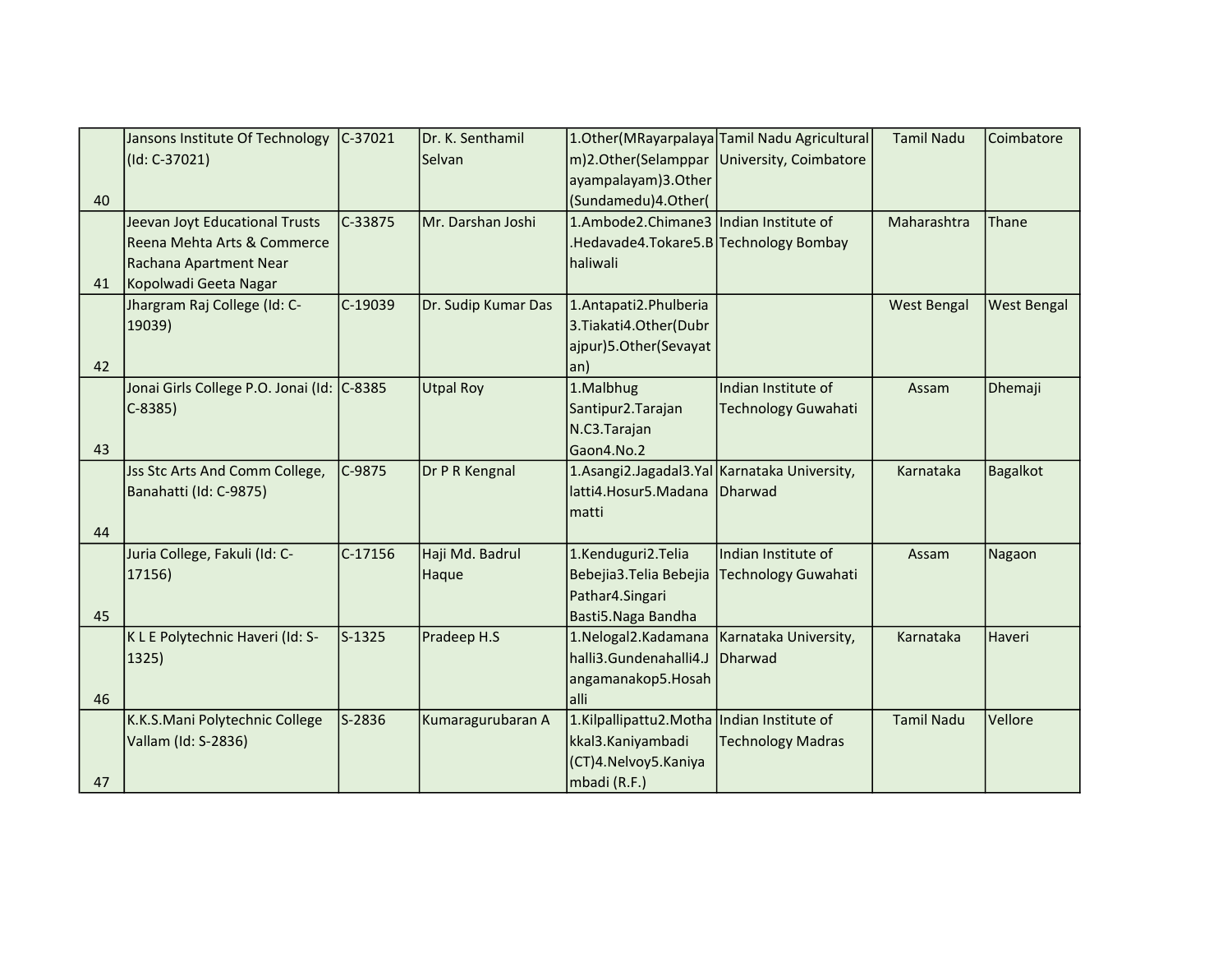|    | Jansons Institute Of Technology            | $C-37021$ | Dr. K. Senthamil    |                                              | 1. Other (MRayarpalaya Tamil Nadu Agricultural | <b>Tamil Nadu</b>  | Coimbatore         |
|----|--------------------------------------------|-----------|---------------------|----------------------------------------------|------------------------------------------------|--------------------|--------------------|
|    | $(Id: C-37021)$                            |           | Selvan              |                                              | m)2.Other(Selamppar University, Coimbatore     |                    |                    |
|    |                                            |           |                     | ayampalayam)3.Other                          |                                                |                    |                    |
| 40 |                                            |           |                     | (Sundamedu)4.Other(                          |                                                |                    |                    |
|    | Jeevan Joyt Educational Trusts             | C-33875   | Mr. Darshan Joshi   | 1.Ambode2.Chimane3 Indian Institute of       |                                                | Maharashtra        | Thane              |
|    | Reena Mehta Arts & Commerce                |           |                     | .Hedavade4.Tokare5.B Technology Bombay       |                                                |                    |                    |
|    | Rachana Apartment Near                     |           |                     | haliwali                                     |                                                |                    |                    |
| 41 | Kopolwadi Geeta Nagar                      |           |                     |                                              |                                                |                    |                    |
|    | Jhargram Raj College (Id: C-               | $C-19039$ | Dr. Sudip Kumar Das | 1.Antapati2.Phulberia                        |                                                | <b>West Bengal</b> | <b>West Bengal</b> |
|    | 19039)                                     |           |                     | 3. Tiakati 4. Other (Dubr                    |                                                |                    |                    |
|    |                                            |           |                     | ajpur)5.Other(Sevayat                        |                                                |                    |                    |
| 42 |                                            |           |                     | an)                                          |                                                |                    |                    |
|    | Jonai Girls College P.O. Jonai (Id: C-8385 |           | <b>Utpal Roy</b>    | 1.Malbhug                                    | Indian Institute of                            | Assam              | Dhemaji            |
|    | $C-8385$                                   |           |                     | Santipur2. Tarajan                           | <b>Technology Guwahati</b>                     |                    |                    |
|    |                                            |           |                     | N.C3.Tarajan                                 |                                                |                    |                    |
| 43 |                                            |           |                     | Gaon4.No.2                                   |                                                |                    |                    |
|    | <b>Jss Stc Arts And Comm College,</b>      | $C-9875$  | Dr P R Kengnal      | 1.Asangi2.Jagadal3.Yal Karnataka University, |                                                | Karnataka          | <b>Bagalkot</b>    |
|    | Banahatti (Id: C-9875)                     |           |                     | latti4.Hosur5.Madana                         | Dharwad                                        |                    |                    |
|    |                                            |           |                     | matti                                        |                                                |                    |                    |
| 44 |                                            |           |                     |                                              |                                                |                    |                    |
|    | Juria College, Fakuli (Id: C-              | C-17156   | Haji Md. Badrul     | 1.Kenduguri2.Telia                           | Indian Institute of                            | Assam              | Nagaon             |
|    | 17156)                                     |           | Haque               | Bebejia3. Telia Bebejia                      | <b>Technology Guwahati</b>                     |                    |                    |
|    |                                            |           |                     | Pathar4.Singari                              |                                                |                    |                    |
| 45 |                                            |           |                     | Basti5. Naga Bandha                          |                                                |                    |                    |
|    | K L E Polytechnic Haveri (Id: S-           | $S-1325$  | Pradeep H.S         | 1.Nelogal2.Kadamana                          | Karnataka University,                          | Karnataka          | Haveri             |
|    | 1325)                                      |           |                     | halli3.Gundenahalli4.J                       | Dharwad                                        |                    |                    |
|    |                                            |           |                     | angamanakop5.Hosah                           |                                                |                    |                    |
| 46 |                                            |           |                     | lalli                                        |                                                |                    |                    |
|    | K.K.S.Mani Polytechnic College             | S-2836    | Kumaragurubaran A   | 1.Kilpallipattu2.Motha Indian Institute of   |                                                | <b>Tamil Nadu</b>  | Vellore            |
|    | Vallam (Id: S-2836)                        |           |                     | kkal3.Kaniyambadi                            | <b>Technology Madras</b>                       |                    |                    |
|    |                                            |           |                     | (CT)4.Nelvoy5.Kaniya                         |                                                |                    |                    |
| 47 |                                            |           |                     | mbadi (R.F.)                                 |                                                |                    |                    |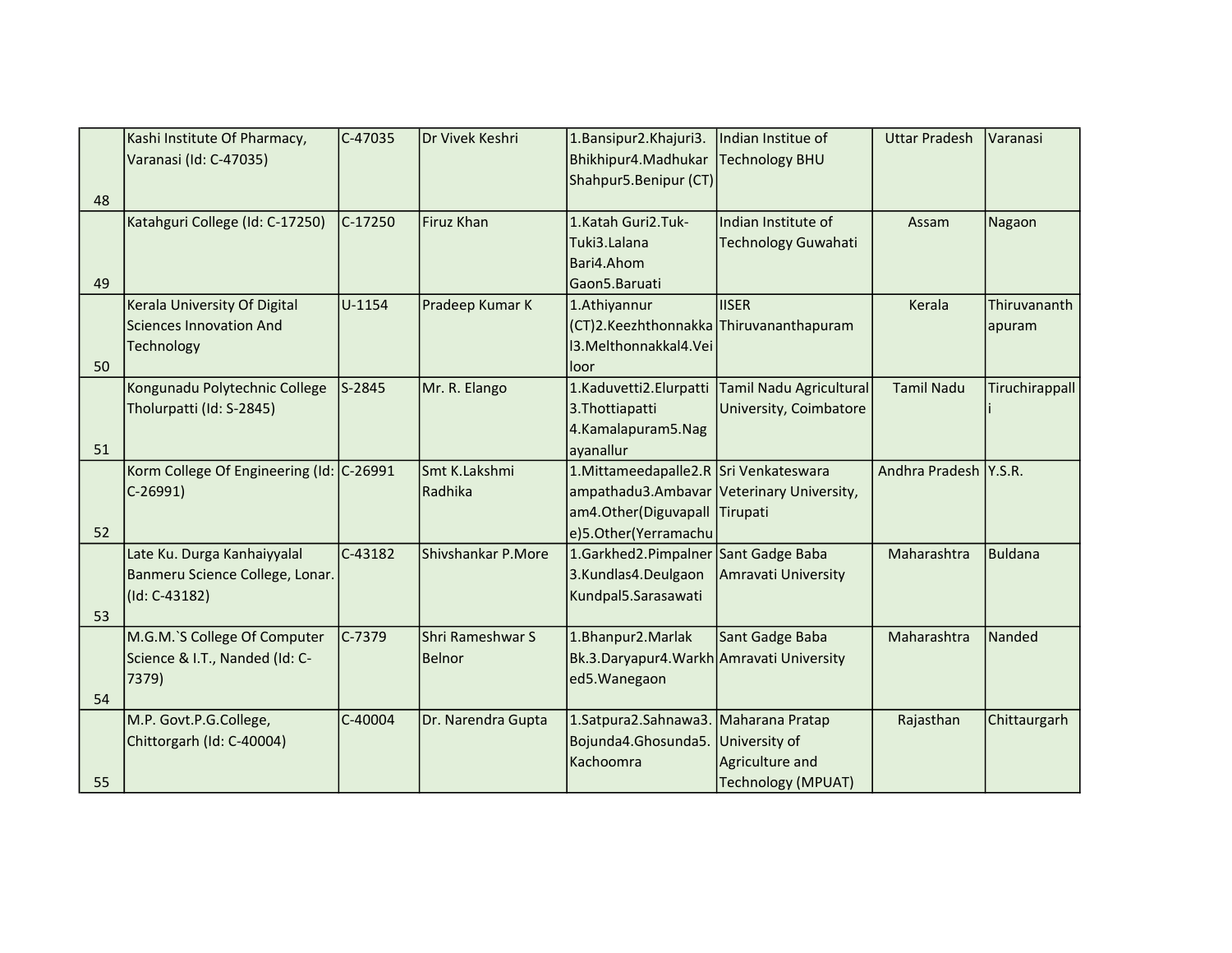|    | Kashi Institute Of Pharmacy,             | $C-47035$ | Dr Vivek Keshri    | 1. Bansipur 2. Khajuri 3.                 | Indian Institue of         | <b>Uttar Pradesh</b>  | Varanasi       |
|----|------------------------------------------|-----------|--------------------|-------------------------------------------|----------------------------|-----------------------|----------------|
|    | Varanasi (Id: C-47035)                   |           |                    | Bhikhipur4.Madhukar                       | Technology BHU             |                       |                |
|    |                                          |           |                    | Shahpur5.Benipur (CT)                     |                            |                       |                |
| 48 |                                          |           |                    |                                           |                            |                       |                |
|    | Katahguri College (Id: C-17250)          | $C-17250$ | Firuz Khan         | 1.Katah Guri2.Tuk-                        | Indian Institute of        | Assam                 | Nagaon         |
|    |                                          |           |                    | Tuki3.Lalana                              | <b>Technology Guwahati</b> |                       |                |
|    |                                          |           |                    | Bari4.Ahom                                |                            |                       |                |
| 49 |                                          |           |                    | Gaon5.Baruati                             |                            |                       |                |
|    | Kerala University Of Digital             | U-1154    | Pradeep Kumar K    | 1.Athiyannur                              | <b>IISER</b>               | Kerala                | Thiruvananth   |
|    | Sciences Innovation And                  |           |                    | (CT)2.Keezhthonnakka Thiruvananthapuram   |                            |                       | apuram         |
|    | Technology                               |           |                    | 13. Melthonnakkal 4. Vei                  |                            |                       |                |
| 50 |                                          |           |                    | loor                                      |                            |                       |                |
|    | Kongunadu Polytechnic College            | $S-2845$  | Mr. R. Elango      | 1.Kaduvetti2.Elurpatti                    | Tamil Nadu Agricultural    | <b>Tamil Nadu</b>     | Tiruchirappall |
|    | Tholurpatti (Id: S-2845)                 |           |                    | 3. Thottiapatti                           | University, Coimbatore     |                       |                |
|    |                                          |           |                    | 4.Kamalapuram5.Nag                        |                            |                       |                |
| 51 |                                          |           |                    | ayanallur                                 |                            |                       |                |
|    | Korm College Of Engineering (Id: C-26991 |           | Smt K.Lakshmi      | 1. Mittameedapalle 2. R Sri Venkateswara  |                            | Andhra Pradesh Y.S.R. |                |
|    | $C-26991$                                |           | Radhika            | ampathadu3.Ambavar Veterinary University, |                            |                       |                |
|    |                                          |           |                    | am4.Other(Diguvapall Tirupati             |                            |                       |                |
| 52 |                                          |           |                    | e)5.Other(Yerramachu                      |                            |                       |                |
|    | Late Ku. Durga Kanhaiyyalal              | $C-43182$ | Shivshankar P.More | 1.Garkhed2.Pimpalner Sant Gadge Baba      |                            | Maharashtra           | <b>Buldana</b> |
|    | Banmeru Science College, Lonar.          |           |                    | 3.Kundlas4.Deulgaon                       | Amravati University        |                       |                |
|    | (Id: C-43182)                            |           |                    | Kundpal5.Sarasawati                       |                            |                       |                |
| 53 |                                          |           |                    |                                           |                            |                       |                |
|    | M.G.M.`S College Of Computer             | $C-7379$  | Shri Rameshwar S   | 1.Bhanpur2.Marlak                         | Sant Gadge Baba            | Maharashtra           | Nanded         |
|    | Science & I.T., Nanded (Id: C-           |           | Belnor             | Bk.3.Daryapur4.Warkh Amravati University  |                            |                       |                |
|    | 7379)                                    |           |                    | ed5.Wanegaon                              |                            |                       |                |
| 54 |                                          |           |                    |                                           |                            |                       |                |
|    | M.P. Govt.P.G.College,                   | C-40004   | Dr. Narendra Gupta | 1. Satpura 2. Sahnawa 3. Maharana Pratap  |                            | Rajasthan             | Chittaurgarh   |
|    | Chittorgarh (Id: C-40004)                |           |                    | Bojunda4.Ghosunda5.                       | University of              |                       |                |
|    |                                          |           |                    | Kachoomra                                 | Agriculture and            |                       |                |
| 55 |                                          |           |                    |                                           | Technology (MPUAT)         |                       |                |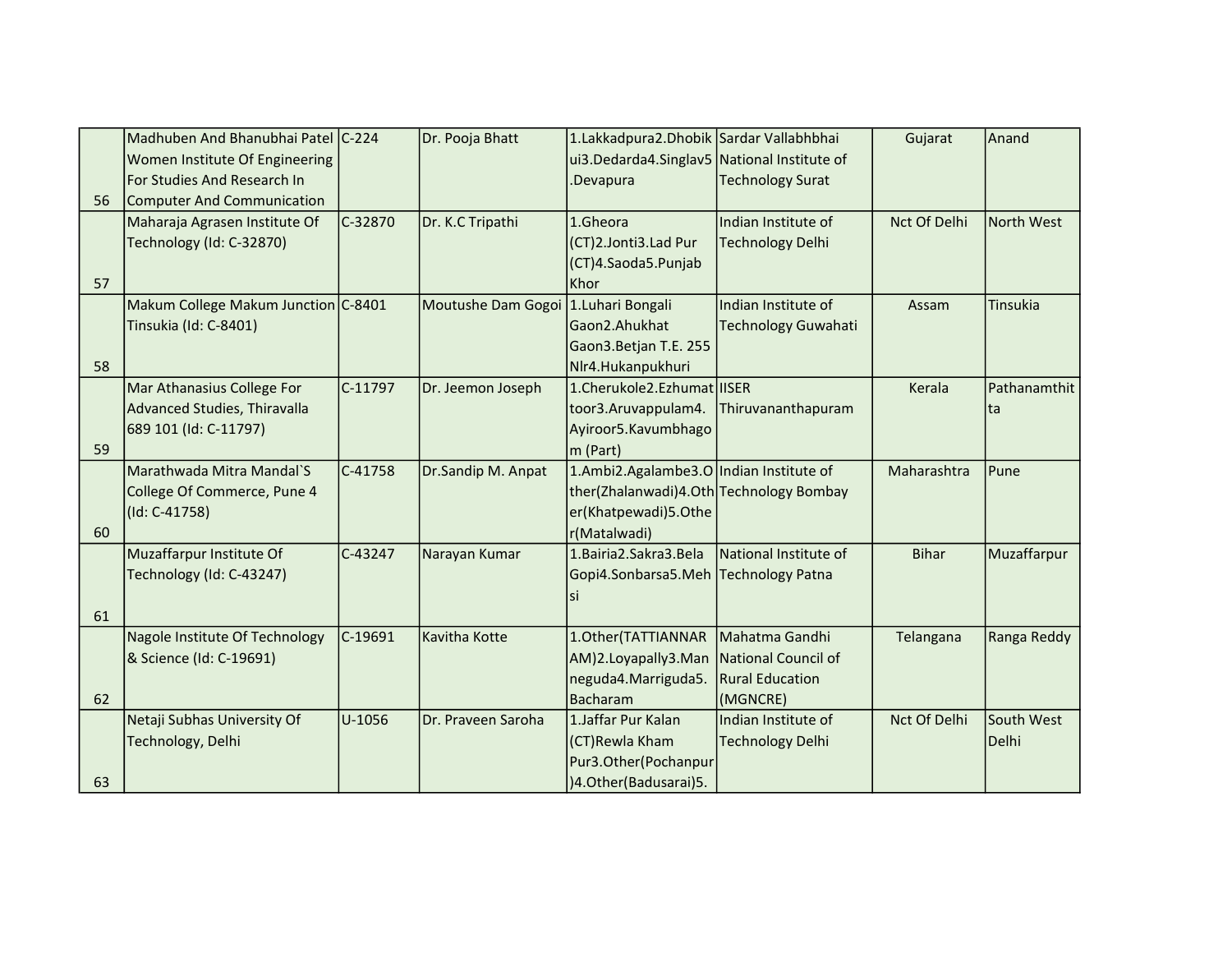|    | Madhuben And Bhanubhai Patel C-224  |           | Dr. Pooja Bhatt    | 1.Lakkadpura2.Dhobik Sardar Vallabhbhai     |                            | Gujarat             | Anand             |
|----|-------------------------------------|-----------|--------------------|---------------------------------------------|----------------------------|---------------------|-------------------|
|    | Women Institute Of Engineering      |           |                    | ui3.Dedarda4.Singlav5 National Institute of |                            |                     |                   |
|    | For Studies And Research In         |           |                    | Devapura                                    | <b>Technology Surat</b>    |                     |                   |
| 56 | Computer And Communication          |           |                    |                                             |                            |                     |                   |
|    | Maharaja Agrasen Institute Of       | C-32870   | Dr. K.C Tripathi   | 1.Gheora                                    | IIndian Institute of       | <b>Nct Of Delhi</b> | <b>North West</b> |
|    | Technology (Id: C-32870)            |           |                    | (CT)2.Jonti3.Lad Pur                        | <b>Technology Delhi</b>    |                     |                   |
|    |                                     |           |                    | (CT)4.Saoda5.Punjab                         |                            |                     |                   |
| 57 |                                     |           |                    | Khor                                        |                            |                     |                   |
|    | Makum College Makum Junction C-8401 |           | Moutushe Dam Gogoi | 1.Luhari Bongali                            | Indian Institute of        | Assam               | Tinsukia          |
|    | Tinsukia (Id: C-8401)               |           |                    | Gaon2.Ahukhat                               | <b>Technology Guwahati</b> |                     |                   |
|    |                                     |           |                    | Gaon3. Betjan T.E. 255                      |                            |                     |                   |
| 58 |                                     |           |                    | Nlr4.Hukanpukhuri                           |                            |                     |                   |
|    | Mar Athanasius College For          | $C-11797$ | Dr. Jeemon Joseph  | 1.Cherukole2.Ezhumat IISER                  |                            | Kerala              | Pathanamthit      |
|    | Advanced Studies, Thiravalla        |           |                    | toor3.Aruvappulam4.                         | Thiruvananthapuram         |                     | ta                |
|    | 689 101 (Id: C-11797)               |           |                    | Ayiroor5.Kavumbhago                         |                            |                     |                   |
| 59 |                                     |           |                    | m (Part)                                    |                            |                     |                   |
|    | Marathwada Mitra Mandal`S           | $C-41758$ | Dr.Sandip M. Anpat | 1.Ambi2.Agalambe3.O   Indian Institute of   |                            | Maharashtra         | Pune              |
|    | College Of Commerce, Pune 4         |           |                    | ther(Zhalanwadi)4.Oth Technology Bombay     |                            |                     |                   |
|    | (Id: C-41758)                       |           |                    | er(Khatpewadi)5.Othe                        |                            |                     |                   |
| 60 |                                     |           |                    | r(Matalwadi)                                |                            |                     |                   |
|    | Muzaffarpur Institute Of            | C-43247   | Narayan Kumar      | 1. Bairia 2. Sakra 3. Bela                  | National Institute of      | <b>Bihar</b>        | Muzaffarpur       |
|    | Technology (Id: C-43247)            |           |                    | Gopi4.Sonbarsa5.Meh Technology Patna        |                            |                     |                   |
|    |                                     |           |                    | si                                          |                            |                     |                   |
| 61 |                                     |           |                    |                                             |                            |                     |                   |
|    | Nagole Institute Of Technology      | $C-19691$ | Kavitha Kotte      | 1.Other(TATTIANNAR                          | Mahatma Gandhi             | Telangana           | Ranga Reddy       |
|    | & Science (Id: C-19691)             |           |                    | AM)2.Loyapally3.Man                         | National Council of        |                     |                   |
|    |                                     |           |                    | neguda4.Marriguda5.                         | <b>Rural Education</b>     |                     |                   |
| 62 |                                     |           |                    | <b>Bacharam</b>                             | (MGNCRE)                   |                     |                   |
|    | Netaji Subhas University Of         | U-1056    | Dr. Praveen Saroha | 1. Jaffar Pur Kalan                         | Indian Institute of        | Nct Of Delhi        | South West        |
|    | Technology, Delhi                   |           |                    | (CT)Rewla Kham                              | Technology Delhi           |                     | Delhi             |
|    |                                     |           |                    | Pur3.Other(Pochanpur                        |                            |                     |                   |
| 63 |                                     |           |                    | )4.Other(Badusarai)5.                       |                            |                     |                   |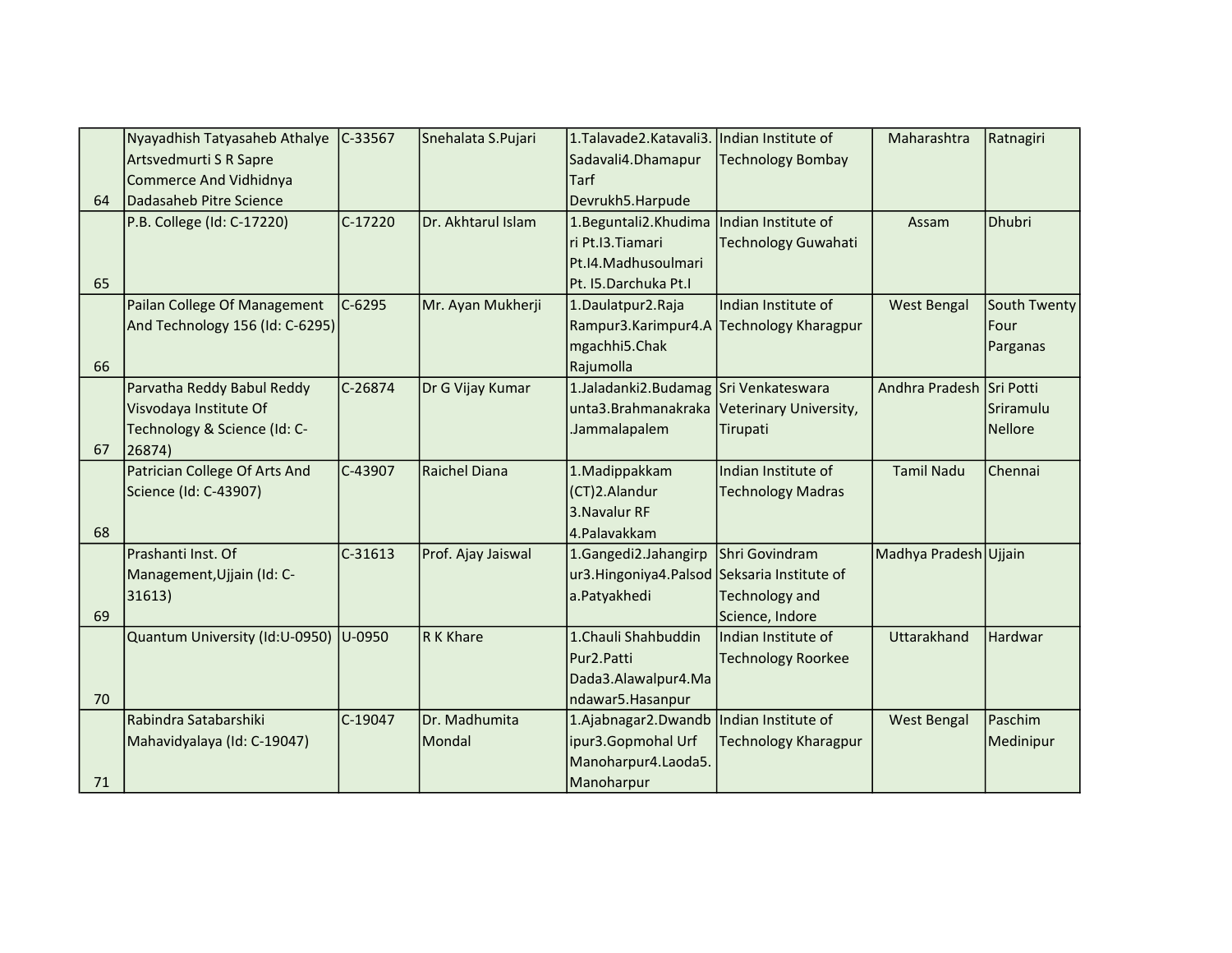|    | Nyayadhish Tatyasaheb Athalye   | C-33567   | Snehalata S.Pujari   | 1. Talavade 2. Katavali 3.                  | Indian Institute of                      | Maharashtra              | Ratnagiri    |
|----|---------------------------------|-----------|----------------------|---------------------------------------------|------------------------------------------|--------------------------|--------------|
|    | Artsvedmurti S R Sapre          |           |                      | Sadavali4.Dhamapur                          | <b>Technology Bombay</b>                 |                          |              |
|    | <b>Commerce And Vidhidnya</b>   |           |                      | <b>Tarf</b>                                 |                                          |                          |              |
| 64 | Dadasaheb Pitre Science         |           |                      | Devrukh5.Harpude                            |                                          |                          |              |
|    | P.B. College (Id: C-17220)      | C-17220   | Dr. Akhtarul Islam   | 1.Beguntali2.Khudima                        | Indian Institute of                      | Assam                    | Dhubri       |
|    |                                 |           |                      | ri Pt.I3.Tiamari                            | <b>Technology Guwahati</b>               |                          |              |
|    |                                 |           |                      | Pt.I4.Madhusoulmari                         |                                          |                          |              |
| 65 |                                 |           |                      | Pt. I5.Darchuka Pt.I                        |                                          |                          |              |
|    | Pailan College Of Management    | $C-6295$  | Mr. Ayan Mukherji    | 1.Daulatpur2.Raja                           | Indian Institute of                      | <b>West Bengal</b>       | South Twenty |
|    | And Technology 156 (Id: C-6295) |           |                      |                                             | Rampur3.Karimpur4.A Technology Kharagpur |                          | Four         |
|    |                                 |           |                      | mgachhi5.Chak                               |                                          |                          | Parganas     |
| 66 |                                 |           |                      | Rajumolla                                   |                                          |                          |              |
|    | Parvatha Reddy Babul Reddy      | C-26874   | Dr G Vijay Kumar     | 1.Jaladanki2.Budamag Sri Venkateswara       |                                          | Andhra Pradesh Sri Potti |              |
|    | Visvodaya Institute Of          |           |                      | unta3.Brahmanakraka                         | Veterinary University,                   |                          | Sriramulu    |
|    | Technology & Science (Id: C-    |           |                      | Jammalapalem                                | Tirupati                                 |                          | Nellore      |
| 67 | 26874)                          |           |                      |                                             |                                          |                          |              |
|    | Patrician College Of Arts And   | C-43907   | <b>Raichel Diana</b> | 1. Madippakkam                              | Indian Institute of                      | <b>Tamil Nadu</b>        | Chennai      |
|    | Science (Id: C-43907)           |           |                      | (CT)2.Alandur                               | <b>Technology Madras</b>                 |                          |              |
|    |                                 |           |                      | 3. Navalur RF                               |                                          |                          |              |
| 68 |                                 |           |                      | 4.Palavakkam                                |                                          |                          |              |
|    | Prashanti Inst. Of              | $C-31613$ | Prof. Ajay Jaiswal   | 1.Gangedi2.Jahangirp                        | Shri Govindram                           | Madhya Pradesh Ujjain    |              |
|    | Management, Ujjain (Id: C-      |           |                      | ur3.Hingoniya4.Palsod Seksaria Institute of |                                          |                          |              |
|    | 31613)                          |           |                      | a.Patyakhedi                                | <b>Technology and</b>                    |                          |              |
| 69 |                                 |           |                      |                                             | Science, Indore                          |                          |              |
|    | Quantum University (Id:U-0950)  | U-0950    | R K Khare            | 1. Chauli Shahbuddin                        | Indian Institute of                      | Uttarakhand              | Hardwar      |
|    |                                 |           |                      | Pur2.Patti                                  | <b>Technology Roorkee</b>                |                          |              |
|    |                                 |           |                      | Dada3.Alawalpur4.Ma                         |                                          |                          |              |
| 70 |                                 |           |                      | ndawar5.Hasanpur                            |                                          |                          |              |
|    | Rabindra Satabarshiki           | C-19047   | Dr. Madhumita        | 1.Ajabnagar2.Dwandb                         | Indian Institute of                      | <b>West Bengal</b>       | Paschim      |
|    | Mahavidyalaya (Id: C-19047)     |           | Mondal               | ipur3.Gopmohal Urf                          | <b>Technology Kharagpur</b>              |                          | Medinipur    |
|    |                                 |           |                      | Manoharpur4.Laoda5.                         |                                          |                          |              |
| 71 |                                 |           |                      | Manoharpur                                  |                                          |                          |              |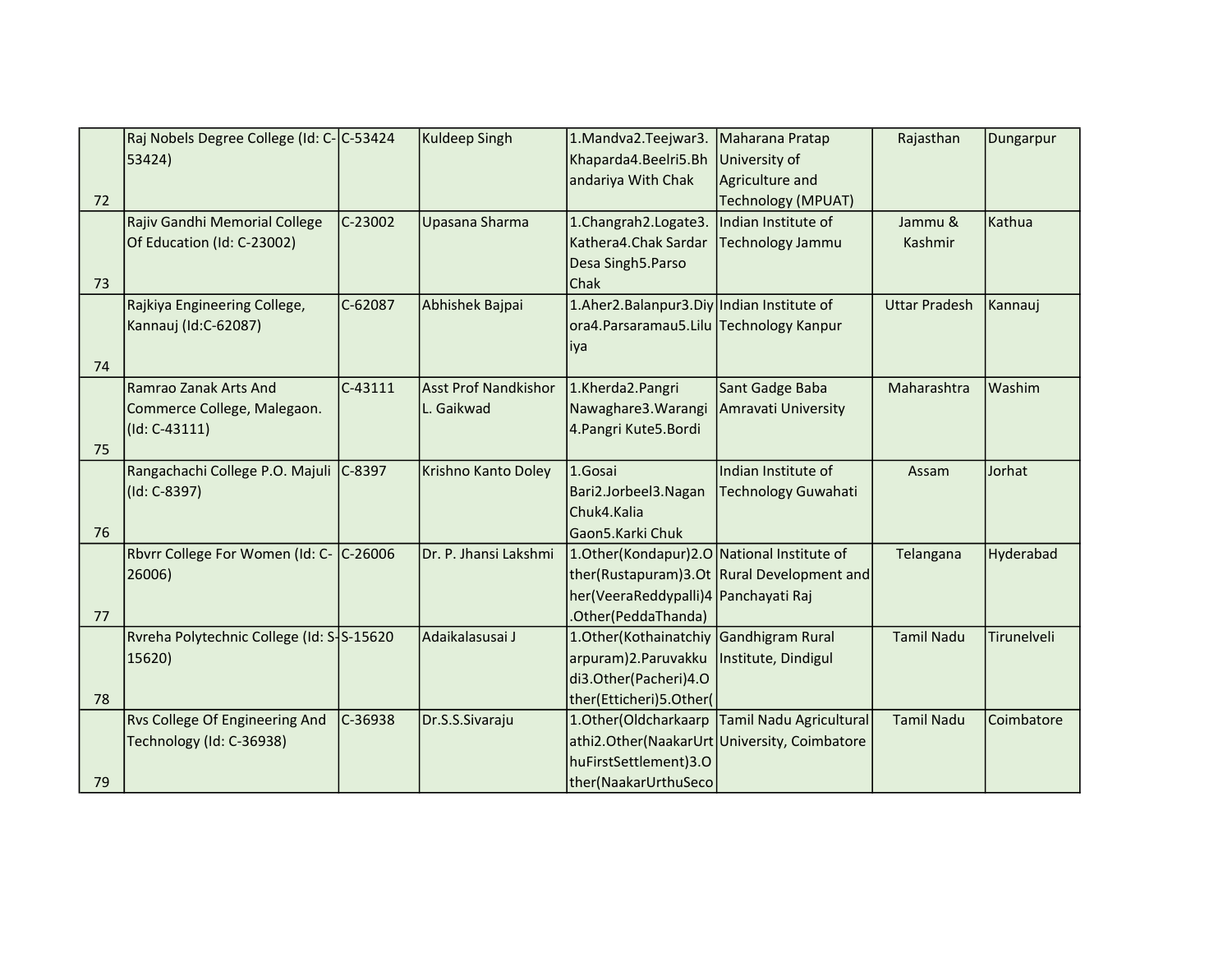|    | Raj Nobels Degree College (Id: C-C-53424  |           | <b>Kuldeep Singh</b>        | 1.Mandva2.Teejwar3.                           | Maharana Pratap                                  | Rajasthan            | Dungarpur   |
|----|-------------------------------------------|-----------|-----------------------------|-----------------------------------------------|--------------------------------------------------|----------------------|-------------|
|    | 53424)                                    |           |                             | Khaparda4.Beelri5.Bh                          | University of                                    |                      |             |
|    |                                           |           |                             | andariya With Chak                            | Agriculture and                                  |                      |             |
| 72 |                                           |           |                             |                                               | <b>Technology (MPUAT)</b>                        |                      |             |
|    | Rajiv Gandhi Memorial College             | C-23002   | Upasana Sharma              | 1.Changrah2.Logate3.                          | Indian Institute of                              | Jammu &              | Kathua      |
|    | Of Education (Id: C-23002)                |           |                             | Kathera4.Chak Sardar                          | <b>Technology Jammu</b>                          | Kashmir              |             |
|    |                                           |           |                             | Desa Singh5.Parso                             |                                                  |                      |             |
| 73 |                                           |           |                             | Chak                                          |                                                  |                      |             |
|    | Rajkiya Engineering College,              | $C-62087$ | Abhishek Bajpai             | 1.Aher2.Balanpur3.Diy Indian Institute of     |                                                  | <b>Uttar Pradesh</b> | Kannauj     |
|    | Kannauj (Id:C-62087)                      |           |                             | ora4. Parsaramau5. Lilu Technology Kanpur     |                                                  |                      |             |
|    |                                           |           |                             | iya                                           |                                                  |                      |             |
| 74 |                                           |           |                             |                                               |                                                  |                      |             |
|    | Ramrao Zanak Arts And                     | C-43111   | <b>Asst Prof Nandkishor</b> | 1.Kherda2.Pangri                              | Sant Gadge Baba                                  | Maharashtra          | Washim      |
|    | Commerce College, Malegaon.               |           | L. Gaikwad                  | Nawaghare3. Warangi                           | Amravati University                              |                      |             |
|    | $(Id: C-43111)$                           |           |                             | 4. Pangri Kute5. Bordi                        |                                                  |                      |             |
| 75 |                                           |           |                             |                                               |                                                  |                      |             |
|    | Rangachachi College P.O. Majuli C-8397    |           | Krishno Kanto Doley         | 1.Gosai                                       | Indian Institute of                              | Assam                | Jorhat      |
|    | (Id: C-8397)                              |           |                             | Bari2.Jorbeel3.Nagan                          | <b>Technology Guwahati</b>                       |                      |             |
|    |                                           |           |                             | Chuk4.Kalia                                   |                                                  |                      |             |
| 76 |                                           |           |                             | Gaon5.Karki Chuk                              |                                                  |                      |             |
|    | Rbvrr College For Women (Id: C- C-26006   |           | Dr. P. Jhansi Lakshmi       | 1. Other (Kondapur) 2.0 National Institute of |                                                  | Telangana            | Hyderabad   |
|    | 26006)                                    |           |                             |                                               | ther(Rustapuram)3.Ot Rural Development and       |                      |             |
|    |                                           |           |                             | her(VeeraReddypalli)4 Panchayati Raj          |                                                  |                      |             |
| 77 |                                           |           |                             | .Other(PeddaThanda)                           |                                                  |                      |             |
|    | Ryreha Polytechnic College (Id: S-S-15620 |           | Adaikalasusai J             | 1. Other (Kothainatchiy Gandhigram Rural      |                                                  | <b>Tamil Nadu</b>    | Tirunelveli |
|    | 15620)                                    |           |                             | arpuram)2.Paruvakku                           | Institute, Dindigul                              |                      |             |
|    |                                           |           |                             | di3.Other(Pacheri)4.O                         |                                                  |                      |             |
| 78 |                                           |           |                             | ther(Etticheri)5.Other(                       |                                                  |                      |             |
|    | <b>Rvs College Of Engineering And</b>     | $C-36938$ | Dr.S.S.Sivaraju             |                                               | 1. Other (Oldcharkaarp   Tamil Nadu Agricultural | <b>Tamil Nadu</b>    | Coimbatore  |
|    | Technology (Id: C-36938)                  |           |                             |                                               | athi2.Other(NaakarUrt University, Coimbatore     |                      |             |
|    |                                           |           |                             | huFirstSettlement)3.0                         |                                                  |                      |             |
| 79 |                                           |           |                             | ther(NaakarUrthuSeco                          |                                                  |                      |             |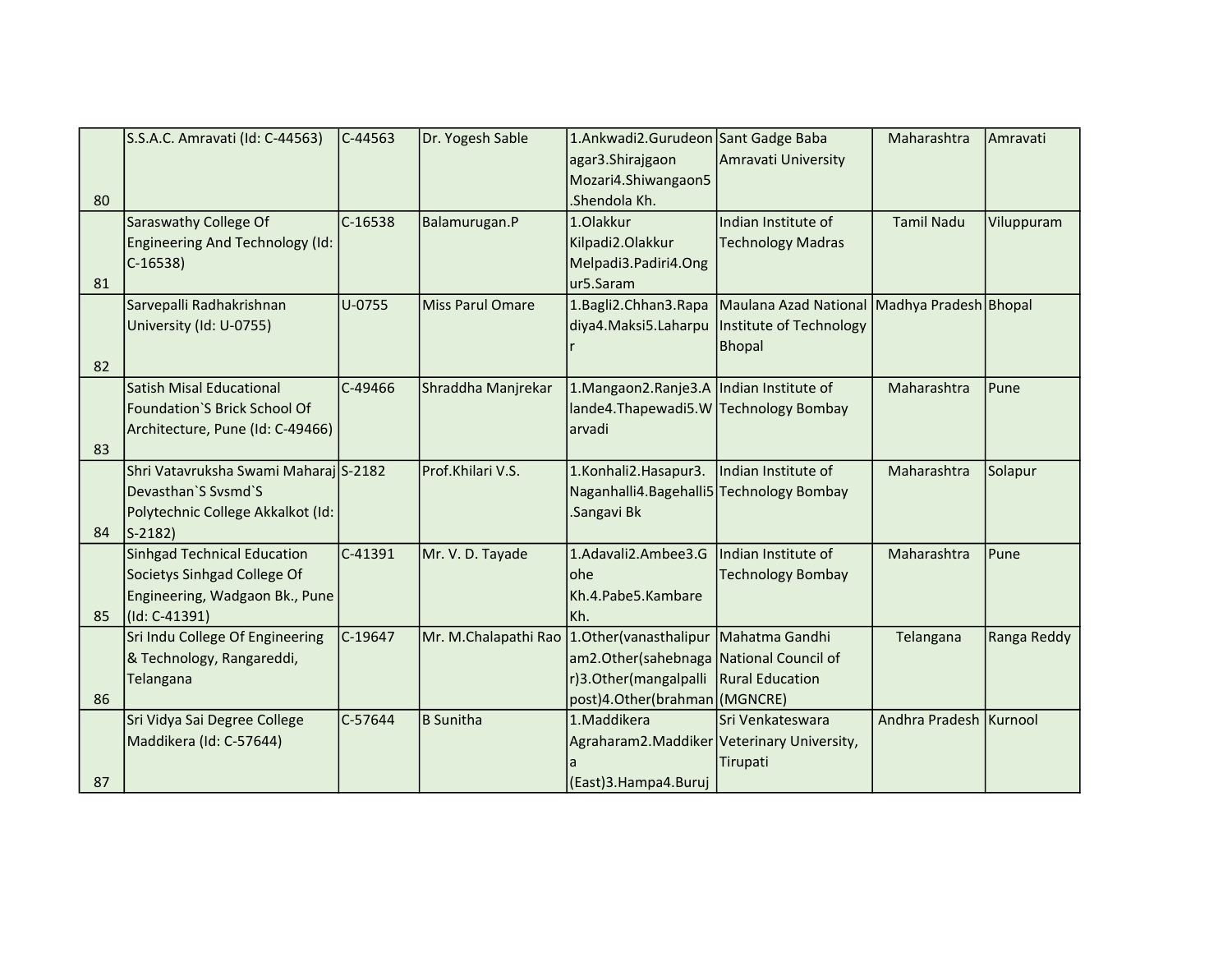|    | S.S.A.C. Amravati (Id: C-44563)       | $C-44563$ | Dr. Yogesh Sable        | 1.Ankwadi2.Gurudeon Sant Gadge Baba            |                                             | Maharashtra            | Amravati    |
|----|---------------------------------------|-----------|-------------------------|------------------------------------------------|---------------------------------------------|------------------------|-------------|
|    |                                       |           |                         | agar3.Shirajgaon                               | Amravati University                         |                        |             |
|    |                                       |           |                         | Mozari4.Shiwangaon5                            |                                             |                        |             |
| 80 |                                       |           |                         | .Shendola Kh.                                  |                                             |                        |             |
|    | Saraswathy College Of                 | C-16538   | Balamurugan.P           | 1.Olakkur                                      | Indian Institute of                         | <b>Tamil Nadu</b>      | Viluppuram  |
|    | Engineering And Technology (Id:       |           |                         | Kilpadi2.Olakkur                               | <b>Technology Madras</b>                    |                        |             |
|    | $C-16538$                             |           |                         | Melpadi3.Padiri4.Ong                           |                                             |                        |             |
| 81 |                                       |           |                         | ur5.Saram                                      |                                             |                        |             |
|    | Sarvepalli Radhakrishnan              | U-0755    | <b>Miss Parul Omare</b> | 1.Bagli2.Chhan3.Rapa                           | Maulana Azad National Madhya Pradesh Bhopal |                        |             |
|    | University (Id: U-0755)               |           |                         | diya4.Maksi5.Laharpu                           | Institute of Technology                     |                        |             |
|    |                                       |           |                         |                                                | <b>Bhopal</b>                               |                        |             |
| 82 |                                       |           |                         |                                                |                                             |                        |             |
|    | Satish Misal Educational              | $C-49466$ | Shraddha Manjrekar      | 1. Mangaon 2. Ranje 3. A   Indian Institute of |                                             | Maharashtra            | Pune        |
|    | Foundation'S Brick School Of          |           |                         | lande4. Thapewadi5. W Technology Bombay        |                                             |                        |             |
|    | Architecture, Pune (Id: C-49466)      |           |                         | arvadi                                         |                                             |                        |             |
| 83 |                                       |           |                         |                                                |                                             |                        |             |
|    | Shri Vatavruksha Swami Maharaj S-2182 |           | Prof.Khilari V.S.       | 1.Konhali2.Hasapur3.                           | Indian Institute of                         | Maharashtra            | Solapur     |
|    | Devasthan'S Svsmd'S                   |           |                         | Naganhalli4. Bagehalli5 Technology Bombay      |                                             |                        |             |
|    | Polytechnic College Akkalkot (Id:     |           |                         | .Sangavi Bk                                    |                                             |                        |             |
| 84 | $ S-2182\rangle$                      |           |                         |                                                |                                             |                        |             |
|    | <b>Sinhgad Technical Education</b>    | C-41391   | Mr. V. D. Tayade        | 1.Adavali2.Ambee3.G                            | Indian Institute of                         | Maharashtra            | Pune        |
|    | Societys Sinhgad College Of           |           |                         | ohe                                            | <b>Technology Bombay</b>                    |                        |             |
|    | Engineering, Wadgaon Bk., Pune        |           |                         | Kh.4.Pabe5.Kambare                             |                                             |                        |             |
| 85 | (Id: C-41391)                         |           |                         | Kh.                                            |                                             |                        |             |
|    | Sri Indu College Of Engineering       | $C-19647$ | Mr. M.Chalapathi Rao    | 1. Other (vanasthalipur   Mahatma Gandhi       |                                             | Telangana              | Ranga Reddy |
|    | & Technology, Rangareddi,             |           |                         | am2.Other(sahebnaga National Council of        |                                             |                        |             |
|    | Telangana                             |           |                         | r)3.Other(mangalpalli   Rural Education        |                                             |                        |             |
| 86 |                                       |           |                         | post)4.Other(brahman)(MGNCRE)                  |                                             |                        |             |
|    | Sri Vidya Sai Degree College          | C-57644   | <b>B</b> Sunitha        | 1. Maddikera                                   | Sri Venkateswara                            | Andhra Pradesh Kurnool |             |
|    | Maddikera (Id: C-57644)               |           |                         | Agraharam2.Maddiker   Veterinary University,   |                                             |                        |             |
|    |                                       |           |                         |                                                | Tirupati                                    |                        |             |
| 87 |                                       |           |                         | (East)3.Hampa4.Buruj                           |                                             |                        |             |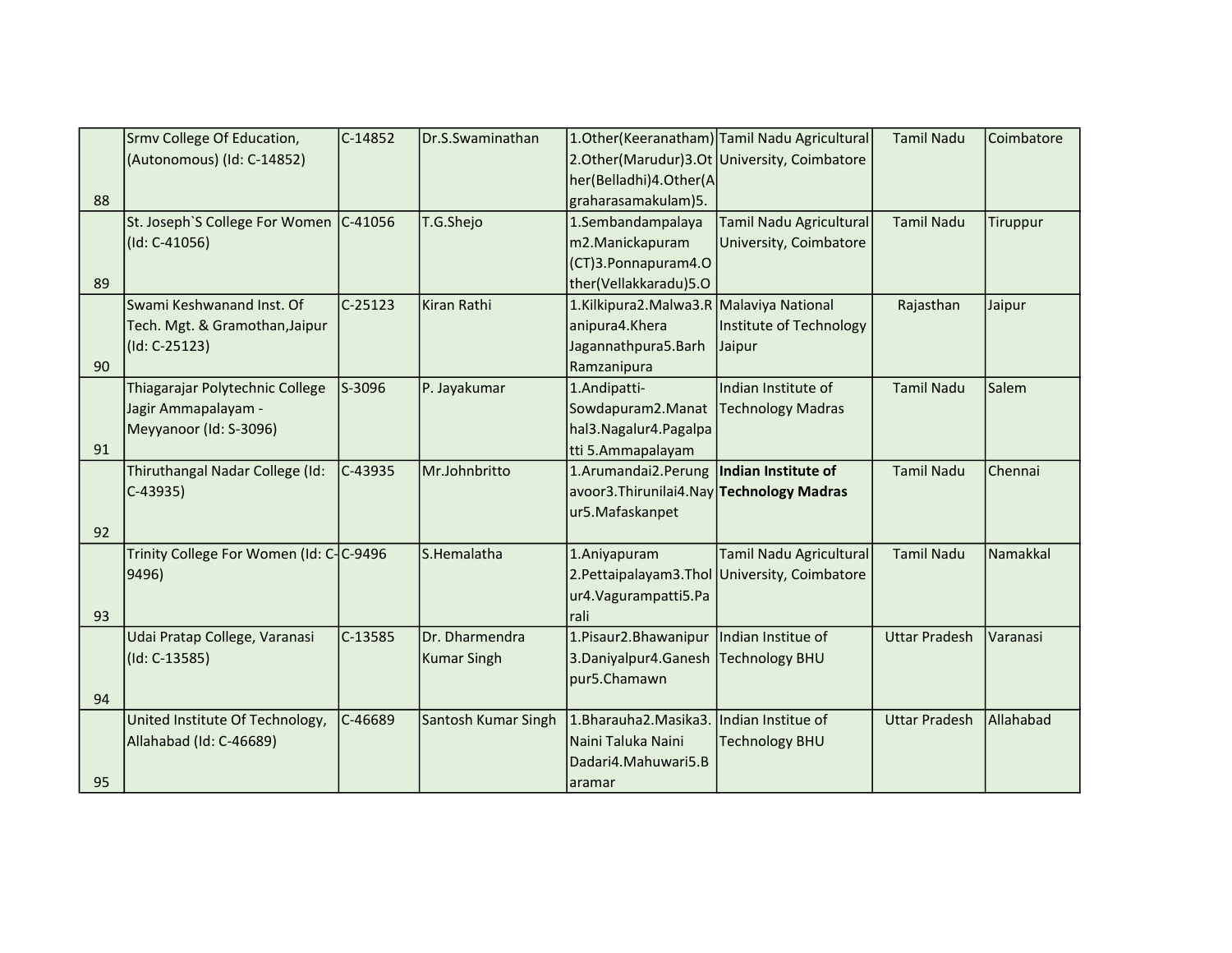|    | Srmv College Of Education,              | $C-14852$ | Dr.S.Swaminathan           |                                              | 1. Other (Keeranatham) Tamil Nadu Agricultural  | <b>Tamil Nadu</b>    | Coimbatore |
|----|-----------------------------------------|-----------|----------------------------|----------------------------------------------|-------------------------------------------------|----------------------|------------|
|    | (Autonomous) (Id: C-14852)              |           |                            |                                              | 2. Other (Marudur) 3. Ot University, Coimbatore |                      |            |
|    |                                         |           |                            | her(Belladhi)4.Other(A                       |                                                 |                      |            |
| 88 |                                         |           |                            | graharasamakulam)5.                          |                                                 |                      |            |
|    | St. Joseph'S College For Women C-41056  |           | T.G.Shejo                  | 1.Sembandampalaya                            | <b>Tamil Nadu Agricultural</b>                  | <b>Tamil Nadu</b>    | Tiruppur   |
|    | (Id: C-41056)                           |           |                            | m2.Manickapuram                              | University, Coimbatore                          |                      |            |
|    |                                         |           |                            | (CT)3.Ponnapuram4.O                          |                                                 |                      |            |
| 89 |                                         |           |                            | ther(Vellakkaradu)5.O                        |                                                 |                      |            |
|    | Swami Keshwanand Inst. Of               | $C-25123$ | <b>Kiran Rathi</b>         | 1.Kilkipura2.Malwa3.R Malaviya National      |                                                 | Rajasthan            | Jaipur     |
|    | Tech. Mgt. & Gramothan, Jaipur          |           |                            | anipura4.Khera                               | Institute of Technology                         |                      |            |
|    | (Id: C-25123)                           |           |                            | Jagannathpura5.Barh                          | Jaipur                                          |                      |            |
| 90 |                                         |           |                            | Ramzanipura                                  |                                                 |                      |            |
|    | Thiagarajar Polytechnic College         | S-3096    | P. Jayakumar               | 1.Andipatti-                                 | Indian Institute of                             | <b>Tamil Nadu</b>    | Salem      |
|    | Jagir Ammapalayam -                     |           |                            | Sowdapuram2.Manat                            | <b>Technology Madras</b>                        |                      |            |
|    | Meyyanoor (Id: S-3096)                  |           |                            | hal3. Nagalur4. Pagalpa                      |                                                 |                      |            |
| 91 |                                         |           |                            | tti 5.Ammapalayam                            |                                                 |                      |            |
|    | Thiruthangal Nadar College (Id:         | C-43935   | Mr.Johnbritto              | 1.Arumandai2.Perung                          | Indian Institute of                             | <b>Tamil Nadu</b>    | Chennai    |
|    | $C-43935$                               |           |                            | avoor3.Thirunilai4.Nay Technology Madras     |                                                 |                      |            |
|    |                                         |           |                            | ur5.Mafaskanpet                              |                                                 |                      |            |
| 92 |                                         |           |                            |                                              |                                                 |                      |            |
|    | Trinity College For Women (Id: C-C-9496 |           | S.Hemalatha                | 1.Aniyapuram                                 | <b>Tamil Nadu Agricultural</b>                  | <b>Tamil Nadu</b>    | Namakkal   |
|    | 9496)                                   |           |                            |                                              | 2. Pettaipalayam 3. Thol University, Coimbatore |                      |            |
|    |                                         |           |                            | ur4. Vagurampatti 5. Pa                      |                                                 |                      |            |
| 93 |                                         |           |                            | rali                                         |                                                 |                      |            |
|    | Udai Pratap College, Varanasi           | C-13585   | Dr. Dharmendra             | 1. Pisaur 2. Bhawanipur   Indian Institue of |                                                 | <b>Uttar Pradesh</b> | Varanasi   |
|    | $(Id: C-13585)$                         |           | <b>Kumar Singh</b>         | 3. Daniyalpur 4. Ganesh Technology BHU       |                                                 |                      |            |
|    |                                         |           |                            | pur5.Chamawn                                 |                                                 |                      |            |
| 94 |                                         |           |                            |                                              |                                                 |                      |            |
|    | United Institute Of Technology,         | C-46689   | <b>Santosh Kumar Singh</b> | 1.Bharauha2.Masika3.                         | Indian Institue of                              | <b>Uttar Pradesh</b> | Allahabad  |
|    | Allahabad (Id: C-46689)                 |           |                            | Naini Taluka Naini                           | <b>Technology BHU</b>                           |                      |            |
|    |                                         |           |                            | Dadari4.Mahuwari5.B                          |                                                 |                      |            |
| 95 |                                         |           |                            | aramar                                       |                                                 |                      |            |